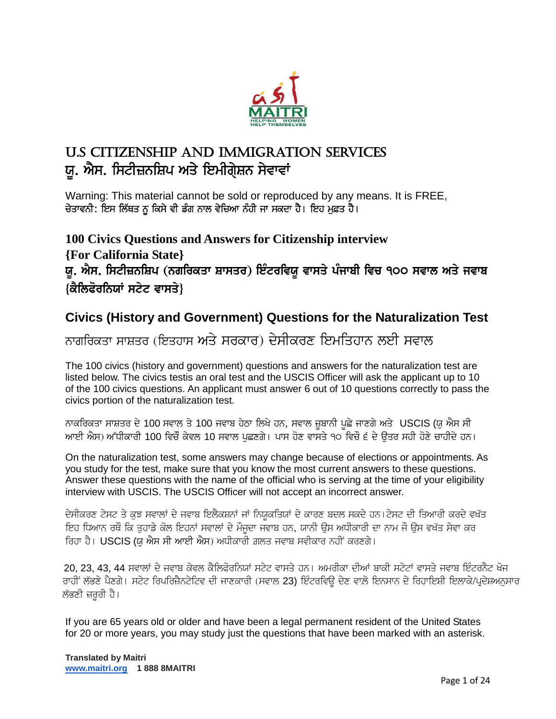

# U.S Citizenship and Immigration Services ਯੂ. ਐਸ. ਸਿਟੀਜ਼ਨਸ਼ਿਪ ਅਤੇ ਇਮੀਗੇਸ਼ਨ ਸੇਵਾਵਾਂ

Warning: This material cannot be sold or reproduced by any means. It is FREE, ਚੇਤਾਵਨੀ: ਇਸ ਲਿੱਥਤ ਨੂ ਕਿਸੇ ਵੀ ਡੰਗ ਨਾਲ ਵੇਚਿਆ ਨੰਹੀ ਜਾ ਸਕਦਾ ਹੈ। ਇਹ ਮੁਫ਼ਤ ਹੈ।

**100 Civics Questions and Answers for Citizenship interview {For California State}** ਯੂ. ਐਸ. ਸਿਟੀਜ਼ਨਸ਼ਿਪ (ਨਗਰਿਕਤਾ ਸ਼ਾਸਤਰ) ਇੰਟਰਵਿਯੁ ਵਾਸਤੇ ਪੰਜਾਬੀ ਵਿਚ ੧੦੦ ਸਵਾਲ ਅਤੇ ਜਵਾਬ  $\{\hat{\vec{\alpha}}$ ਲਿਫੋਰਨਿਯਾਂ ਸਟੇਟ ਵਾਸਤੇ}

# **Civics (History and Government) Questions for the Naturalization Test**

# ਨਾਗਰਿਕਤਾ ਸਾਸ਼ਤਰ (ਇਤਹਾਸ ਅਤੇ ਸਰਕਾਰ) ਦੇਸੀਕਰਣ ਇਮਤਿਹਾਨ ਲਈ ਸਵਾਲ

The 100 civics (history and government) questions and answers for the naturalization test are listed below. The civics testis an oral test and the USCIS Officer will ask the applicant up to 10 of the 100 civics questions. An applicant must answer 6 out of 10 questions correctly to pass the civics portion of the naturalization test.

ਨਾਕਰਿਕਤਾ ਸਾਸ਼ਤਰ ਦੇ 100 ਸਵਾਲ ਤੇ 100 ਜਵਾਬ ਹੇਠਾ ਲਿਖੇ ਹਨ, ਸਵਾਲ ਜ਼ੁਬਾਨੀ ਪੁਛੇ ਜਾਣਗੇ ਅਤੇ USCIS (ਯੂ ਐਸ ਸੀ ਆਈ ਐਸ) ਅੱਧੀਕਾਰੀ 100 ਵਿਚੌਂ ਕੇਵਲ 10 ਸਵਾਲ ਪਛਣਗੇ। ਪਾਸ ਹੋਣ ਵਾਸਤੇ ੧੦ ਵਿਚੋਂ ੬ ਦੇ ੳਤਰ ਸਹੀ ਹੋਣੇ ਚਾਹੀਦੇ ਹਨ।

On the naturalization test, some answers may change because of elections or appointments. As you study for the test, make sure that you know the most current answers to these questions. Answer these questions with the name of the official who is serving at the time of your eligibility interview with USCIS. The USCIS Officer will not accept an incorrect answer.

ਦੇਸੀਕਰਣ ਟੇਸਟ ਤੇ ਕੁਝ ਸਵਾਲਾਂ ਦੇ ਜਵਾਬ ਇਲੈਕਸ਼ਨਾਂ ਜਾਂ ਨਿਯੁਕਤਿਯਾਂ ਦੇ ਕਾਰਣ ਬਦਲ ਸਕਦੇ ਹਨ।ਟੇਸਟ ਦੀ ਤਿਆਰੀ ਕਰਦੇ ਵਖੱਤ ਇਹ ਧਿਆਨ ਰਥੋਂ ਕਿ ਤਹਾਡੇ ਕੋਲ ਇਹਨਾਂ ਸਵਾਲਾਂ ਦੇ ਮੌਜੂਦਾ ਜਵਾਬ ਹਨ, ਯਾਨੀ ਉਸ ਅਧੀਕਾਰੀ ਦਾ ਨਾਮ ਜੌ ਉਸ ਵਖੱਤ ਸੇਵਾ ਕਰ ਰਿਹਾ ਹੈ। USCIS (ਯ ਐਸ ਸੀ ਆਈ ਐਸ) ਅਧੀਕਾਰੀ ਗ਼ਲਤ ਜਵਾਬ ਸਵੀਕਾਰ ਨਹੀਂ ਕਰਣਗੇ।

20, 23, 43, 44 ਸਵਾਲਾਂ ਦੇ ਜਵਾਬ ਕੇਵਲ ਕੈਲਿਫੋਰਨਿਯਾਂ ਸਟੇਟ ਵਾਸਤੇ ਹਨ। ਅਮਰੀਕਾ ਦੀਆਂ ਬਾਕੀ ਸਟੇਟਾਂ ਵਾਸਤੇ ਜਵਾਬ ਇੰਟਰਨੈਟ ਖੋਜ ਰਾਹੀਂ ਲੱਭਣੇ ਪੈਣਗੇ। ਸਟੇਟ ਰਿਪਰਿਜ਼ੈਨਟੇਟਿਵ ਦੀ ਜਾਣਕਾਰੀ (ਸਵਾਲ 23) ਇੰਟਰਵਿਊ ਦੇਣ ਵਾਲ਼ੇ ਇਨਸਾਨ ਦੇ ਰਿਹਾਇਸ਼ੀ ਇਲਾਕੇ/ਪੁਦੇਸ਼ਅਨਸਾਰ ਲੱਭਣੀ ਜ਼ਰੂਰੀ ਹੈ।

If you are 65 years old or older and have been a legal permanent resident of the United States for 20 or more years, you may study just the questions that have been marked with an asterisk.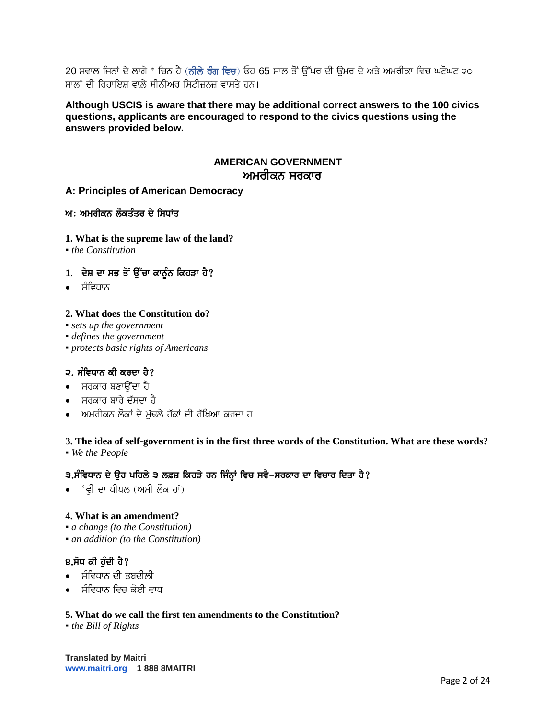20 ਸਵਾਲ ਜਿਨਾਂ ਦੇ ਲਾਗੇ \* ਚਿਨ ਹੈ (ਨੀਲੇ ਰੰਗ ਵਿਚ) ਓਹ 65 ਸਾਲ ਤੋਂ ਉੱਪਰ ਦੀ ਉਮਰ ਦੇ ਅਤੇ ਅਮਰੀਕਾ ਵਿਚ ਘਟੋਘਟ ੨੦ ਸਾਲਾਂ ਦੀ ਰਿਹਾਇਸ਼ ਵਾਲੇ ਸੀਨੀਅਰ ਸਿਟੀਜ਼ਨਜ਼ ਵਾਸਤੇ ਹਨ।

## **Although USCIS is aware that there may be additional correct answers to the 100 civics questions, applicants are encouraged to respond to the civics questions using the answers provided below.**

# **AMERICAN GOVERNMENT** ਅਮਰੀਕਨ ਸਰਕਾਰ

**A: Principles of American Democracy**

 $w:$  ਅਮਰੀਕਨ ਲੌਕਤੰਤਰ ਦੇ ਸਿਧਾਂਤ

**1. What is the supreme law of the land?**

▪ *the Constitution*

- $1.$  ਦੇਸ਼ ਦਾ ਸਭ ਤੋਂ ਉੱਚਾ ਕਾਨੂੰਨ ਕਿਹੜਾ ਹੈ?
- ਸੰਵਿਧਾਨ

## **2. What does the Constitution do?**

- *sets up the government*
- *defines the government*
- *protects basic rights of Americans*

## $2.$  ਸੰਵਿਧਾਨ ਕੀ ਕਰਦਾ ਹੈ?

- ∙ ਸਰਕਾਰ ਬਣਾੳਂਦਾ ਹੈ
- ਸਰਕਾਰ ਬਾਰੇ ਦੱਸਦਾ ਹੈ
- ਅਮਰੀਕਨ ਲੋਕਾਂ ਦੇ ਮੱਢਲੇ ਹੱਕਾਂ ਦੀ ਰੱਖਿਆ ਕਰਦਾ ਹ

## **3. The idea of self-government is in the first three words of the Constitution. What are these words?** ▪ *We the People*

## 3.ਸੰਵਿਧਾਨ ਦੇ ੳਹ ਪਹਿਲੇ ੩ ਲਫ਼ਜ਼ ਕਿਹੜੇ ਹਨ ਜਿੰਨਾਂ ਵਿਚ ਸਵੈ-ਸਰਕਾਰ ਦਾ ਵਿਚਾਰ ਦਿਤਾ ਹੈ?

∙ 'ਵੀ ਦਾ ਪੀਪਲ (ਅਸੀ ਲੌਕ ਹਾਂ)

#### **4. What is an amendment?**

- *a change (to the Constitution)*
- *an addition (to the Constitution)*

## $8.\overline{h}$ ਧ ਕੀ ਹੰਦੀ ਹੈ?

- ਸੰਵਿਧਾਨ ਦੀ ਤਬਦੀਲੀ
- ਸੰਵਿਧਾਨ ਵਿਚ ਕੋਈ ਵਾਧ

#### **5. What do we call the first ten amendments to the Constitution?**

▪ *the Bill of Rights*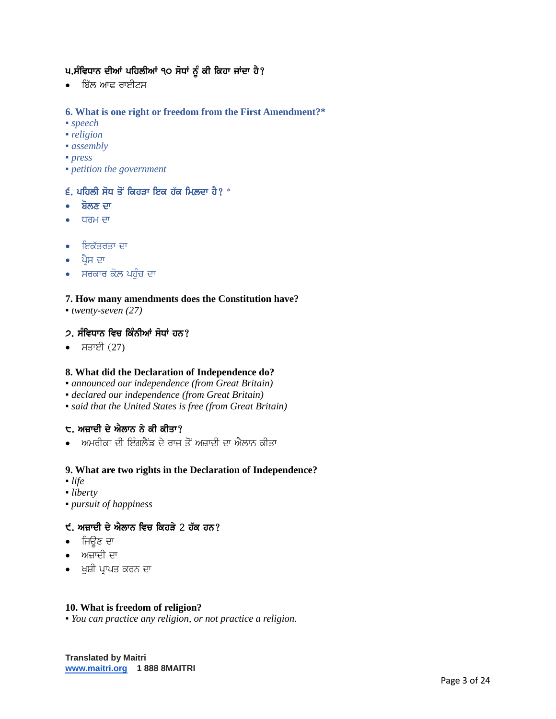# ਪ.ਸੰਵਿਧਾਨ ਦੀਆਂ ਪਹਿਲੀਆਂ ੧੦ ਸੋਧਾਂ ਨੂੰ ਕੀ ਕਿਹਾ ਜਾਂਦਾ ਹੈ?

• ਬਿੱਲ ਆਫ ਰਾਈਟਸ

## **6. What is one right or freedom from the First Amendment?\***

- *speech*
- *religion*
- *assembly*
- *press*
- *petition the government*

#### $\epsilon$ . ਪਹਿਲੀ ਸੋਧ ਤੋਂ ਕਿਹਤਾ ਇਕ ਹੱਕ ਮਿਲਦਾ ਹੈ?  $^*$

- ਬੋਲਣ ਦਾ
- ਧਰਮ ਦਾ
- ਇਕੱਤਰਤਾ ਦਾ
- ∙ ਪ੍ਰੈਸ ਦਾ
- ਸਰਕਾਰ ਕੋਲ ਪਹੁੰਚ ਦਾ

## **7. How many amendments does the Constitution have?**

▪ *twenty-seven (27)*

## $2.$  ਸੰਵਿਧਾਨ ਵਿਚ ਕਿੰਨੀਆਂ ਸੋਧਾਂ ਹਨ?

• ਸਤਾਈ $(27)$ 

#### **8. What did the Declaration of Independence do?**

- *announced our independence (from Great Britain)*
- *declared our independence (from Great Britain)*
- *said that the United States is free (from Great Britain)*

# $t$ . ਅਜ਼ਾਦੀ ਦੇ ਐਲਾਨ ਨੇ ਕੀ ਕੀਤਾ?

ਅਮਰੀਕਾ ਦੀ ਇੰਗਲੈਂਡ ਦੇ ਰਾਜ ਤੋਂ ਅਜ਼ਾਦੀ ਦਾ ਐਲਾਨ ਕੀਤਾ

#### **9. What are two rights in the Declaration of Independence?**

- *life*
- *liberty*
- *pursuit of happiness*

# $t$ . ਅਜ਼ਾਦੀ ਦੇ ਐਲਾਨ ਵਿਚ ਕਿਹੜੇ 2 ਹੱਕ ਹਨ?

- ∙ ਜਿੳਣ ਦਾ
- $\bullet$  ਅਜ਼ਾਦੀ ਦਾ
- ∙ \_ਖੁਸ਼ੀ ਪ੍ਰਾਪਤ ਕਰਨ ਦਾ

#### **10. What is freedom of religion?**

▪ *You can practice any religion, or not practice a religion.*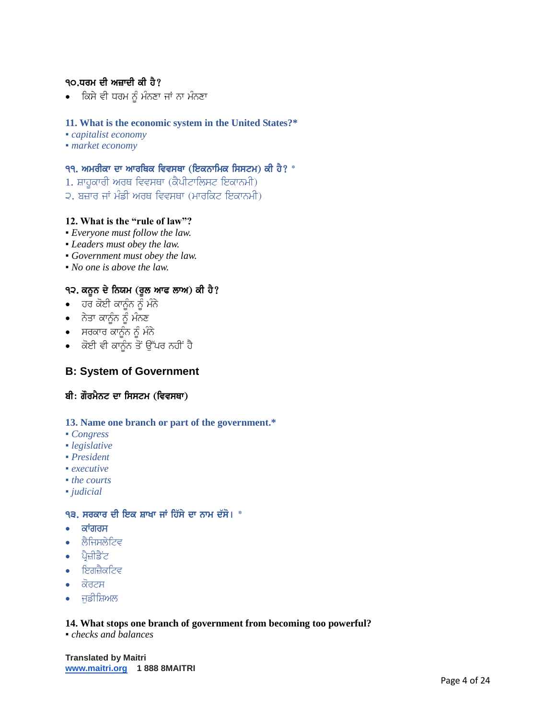# $90.$ ਧਰਮ ਦੀ ਅਜ਼ਾਦੀ ਕੀ ਹੈ $?$

• ਕਿਸੇ ਵੀ ਧਰਮ ਨੂੰ ਮੰਨਣਾ ਜਾਂ ਨਾ ਮੰਨਣਾ

## **11. What is the economic system in the United States?\***

- *capitalist economy*
- *market economy*

## <u>੧੧. ਅਮਰੀਕਾ ਦਾ ਆਰਥਿਕ ਵਿਵਸਥਾ (ਇਕਨਾਮਿਕ ਸਿਸਟਮ) ਕੀ ਹੈ? \*</u>

- $1.$  ਸ਼ਾਹਕਾਰੀ ਅਰਥ ਵਿਵਸਥਾ (ਕੈਪੀਟਾਲਿਸਟ ਇਕਾਨਮੀ)
- 2. ਬਜ਼ਾਰ ਜਾਂ ਮੰਡੀ ਅਰਥ ਵਿਵਸਥਾ (ਮਾਰਕਿਟ ਇਕਾਨਮੀ)

## **12. What is the "rule of law"?**

- *Everyone must follow the law.*
- *Leaders must obey the law.*
- *Government must obey the law.*
- *No one is above the law.*

## ੧੨. ਕਨੂਨ ਦੇ ਨਿਯਮ (ਰੁਲ ਆਫ ਲਾਅ) ਕੀ ਹੈ?

- **•** ਹਰ ਕੋਈ ਕਾਨੂੰਨ ਨੂੰ ਮੰਨੇ
- $\bullet$  ਨੇਤਾ ਕਾਨੂੰਨ ਨੂੰ ਮੰਨਣ
- $\bullet$  ਸਰਕਾਰ ਕਾਨੂੰਨ ਨੂੰ ਮੰਨੇ
- $\bullet$  ਕੋਈ ਵੀ ਕਾਨੂੰਨ ਤੋਂ ਉੱਪਰ ਨਹੀਂ ਹੈ

# **B: System of Government**

#### ਬੀ: ਗੌਰਮੈਨਟ ਦਾ ਸਿਸਟਮ (ਵਿਵਸਥਾ)

#### **13. Name one branch or part of the government.\***

- *Congress*
- *legislative*
- *President*
- *executive*
- *the courts* ▪ *judicial*

# ੧੩. ਸਰਕਾਰ ਦੀ ਇਕ ਸ਼ਾਖਾ ਜਾਂ ਹਿੱਸੇ ਦਾ ਨਾਮ ਦੱਸੋ।  $^*$

- $\bullet$  ਕਾਂਗਰਸ
- $\bullet$  ਲੈਜਿਸਲੇਟਿਵ
- $\bullet$  ਪ੍ਰੈਜ਼ੀਡੈਂਟ
- $\bullet$  ਇਗਜ਼ੈਕਟਿਵ
- $\bullet$  ਕੋਰਟਸ
- $\bullet$  ਜਡੀਸ਼ਿਅਲ

#### **14. What stops one branch of government from becoming too powerful?**

▪ *checks and balances*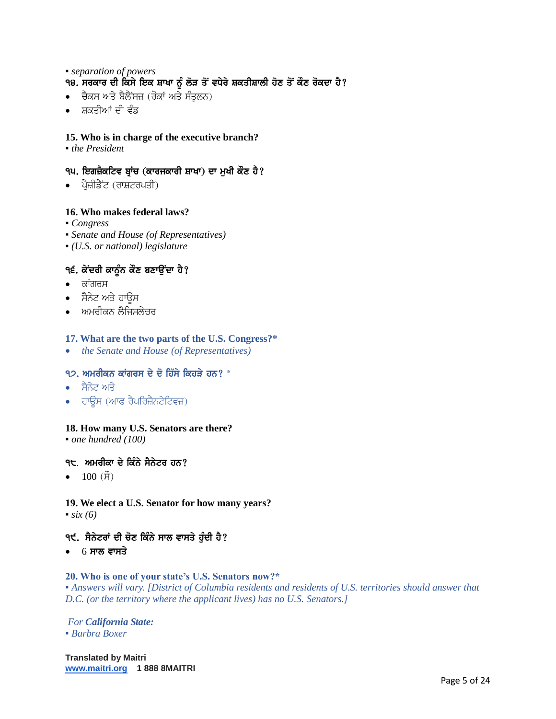## ▪ *separation of powers* <u>੧੪. ਸਰਕਾਰ ਦੀ ਕਿੰਸੇ ਇਕ ਸ਼ਾਖਾ ਨੂੰ ਲੋੜ ਤੋਂ ਵਧੇਰੇ ਸ਼ਕਤੀਸ਼ਾਲੀ ਹੋਣ ਤੋਂ ਕੌਣ ਰੋਕਦਾ ਹੈ?</u>

- $\bullet$  ਚੈਕਸ ਅਤੇ ਬੈਲੈਂਸਜ਼ (ਰੋਕਾਂ ਅਤੇ ਸੰਤਲਨ)
- ਸ਼ਕਤੀਆਂ ਦੀ ਵੰਡ

## **15. Who is in charge of the executive branch?**

▪ *the President*

# ੧੫. ਇਗਜ਼ੈਕਟਿਵ ਬ੍ਰਾਂਚ (ਕਾਰਜਕਾਰੀ ਸ਼ਾਖਾ) ਦਾ ਮੁਖੀ ਕੌਣ ਹੈ?

 $\bullet$  ਪ੍ਰੈਜ਼ੀਡੈਂਟ (ਰਾਸ਼ਟਰਪਤੀ)

## **16. Who makes federal laws?**

- *Congress*
- *Senate and House (of Representatives)*
- *(U.S. or national) legislature*

# ੧੬. ਕੇਂਦਰੀ ਕਾਨੂੰਨ ਕੌਣ ਬਣਾਉਂਦਾ ਹੈ?

- $\bullet$  ਕਾਂਗਰਸ
- ਸੈਨੇਟ ਅਤੇ ਹਾਊਸ
- ਅਮਰੀਕਨ ਲੈਜਿਸਲੇਚਰ

#### **17. What are the two parts of the U.S. Congress?\***

*the Senate and House (of Representatives)*

## $9$ , ਅਮਰੀਕਨ ਕਾਂਗਰਸ ਦੇ ਦੋ ਹਿੱਸੇ ਕਿਹੜੇ ਹਨ?  $^*$

- ਸੈਨੇਟ ਅਤੇ
- ਹਾਊਸ (ਆਫ ਰੈਪਰਿਜ਼ੈਨਟੇਟਿਵਜ਼)

#### **18. How many U.S. Senators are there?**

▪ *one hundred (100)*

#### <u>੧੮. ਅਮਰੀਕਾ ਦੇ ਕਿੰਨੇ ਸੈਨੇਟਰ ਹਨ?</u>

•  $100 \text{ (H)}$ 

#### **19. We elect a U.S. Senator for how many years?**  $\cdot$  *six (6)*

## ੧੯. ਸੈਨੇਟਰਾਂ ਦੀ ਚੋਣ ਕਿੰਨੇ ਸਾਲ ਵਾਸਤੇ ਹੁੰਦੀ ਹੈ?

• 6 ਸਾਲ ਵਾਸਤੇ

# **20. Who is one of your state's U.S. Senators now?\***

▪ *Answers will vary. [District of Columbia residents and residents of U.S. territories should answer that D.C. (or the territory where the applicant lives) has no U.S. Senators.]*

#### *For California State:* ▪ *Barbra Boxer*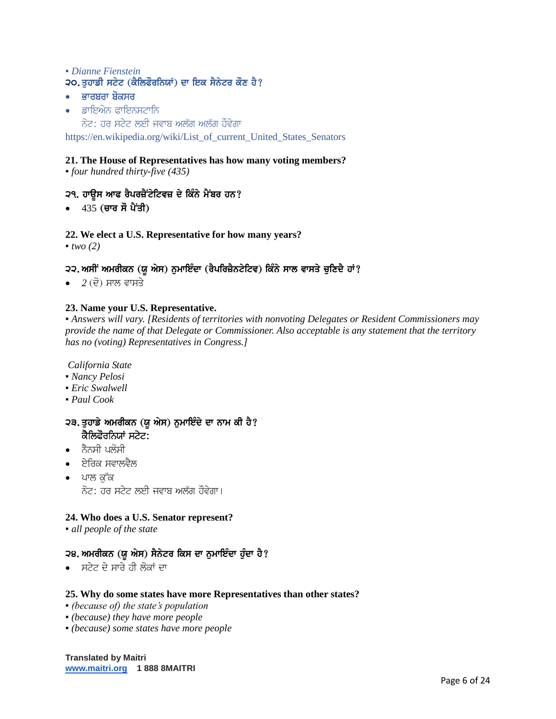## ▪ *Dianne Fienstein* 20. ਤਹਾਡੀ ਸਟੇਟ (ਕੈਲਿਫੌਰਨਿਯਾਂ) ਦਾ ਇਕ ਸੈਨੇਟਰ ਕੌਣ ਹੈ?

- $\bullet$  ਭਾਰਬਰਾ ਬੋਕਸਰ
- $\bullet$  ਡਾਇਐਨ ਫਾਇਨਸਟਾਨਿ ਨੋਟ: ਹਰ ਸਟੇਟ ਲਈ ਜਵਾਬ ਅਲੱਗ ਅਲੱਗ ਹੌਵੇਗਾ

[https://en.wikipedia.org/wiki/List\\_of\\_current\\_United\\_States\\_Senators](https://en.wikipedia.org/wiki/List_of_current_United_States_Senators)

## **21. The House of Representatives has how many voting members?**

▪ *four hundred thirty-five (435)*

# ੨੧. ਹਾਊਸ ਆਫ ਰੈਪਰਜ਼ੈਂਟੇਟਿਵਜ਼ ਦੇ ਕਿੰਨੇ ਮੈਂਬਰ ਹਨ?

 $\bullet$  435 (ਚਾਰ ਸੌ ਪੈਂਤੀ)

# **22. We elect a U.S. Representative for how many years?**

 $\blacksquare$ *two* (2)

# 2੨. ਅਸੀਂ ਅਮਰੀਕਨ (ਯੂ ਐਸ) ਨੁਮਾਇੰਦਾ (ਰੈਪਰਿਜ਼ੈਨਟੇਟਿਵ) ਕਿੰਨੇ ਸਾਲ ਵਾਸਤੇ ਚੁਣਿਦੈ ਹਾਂ?

• 2 (ਦੋ) ਸਾਲ ਵਾਸਤੇ

# **23. Name your U.S. Representative.**

▪ *Answers will vary. [Residents of territories with nonvoting Delegates or Resident Commissioners may provide the name of that Delegate or Commissioner. Also acceptable is any statement that the territory has no (voting) Representatives in Congress.]*

*California State*

- *Nancy Pelosi*
- *Eric Swalwell*
- *Paul Cook*

## ੨੩. ਤੁਹਾਡੇ ਅਮਰੀਕਨ (ਯੂ ਐਸ) ਨੁਮਾਇੰਦੇ ਦਾ ਨਾਮ ਕੀ ਹੈ? ਕੈਲਿਫੌਰਨਿਯਾਂ ਸਟੇਟ:

- $\bullet$  ਨੈਨਸੀ ਪਲੋਸੀ
- ਏਰਿਕ ਸਵਾਲਵੈਲ
- ∙ ਪਾਲ ਕੱਕ ਨੋਟ: ਹਰ ਸਟੇਟ ਲਈ ਜਵਾਬ ਅਲੱਗ ਹੌਵੇਗਾ।

## **24. Who does a U.S. Senator represent?**

▪ *all people of the state*

## 28. ਅਮਰੀਕਨ (ਯੂ ਐਸ) ਸੈਨੇਟਰ ਕਿਸ ਦਾ ਨੁਮਾਇੰਦਾ ਹੁੰਦਾ ਹੈ?

• ਸਟੇਟ ਦੇ ਸਾਰੇ ਹੀ ਲੋਕਾਂ ਦਾ

#### **25. Why do some states have more Representatives than other states?**

- *(because of) the state's population*
- *(because) they have more people*
- *(because) some states have more people*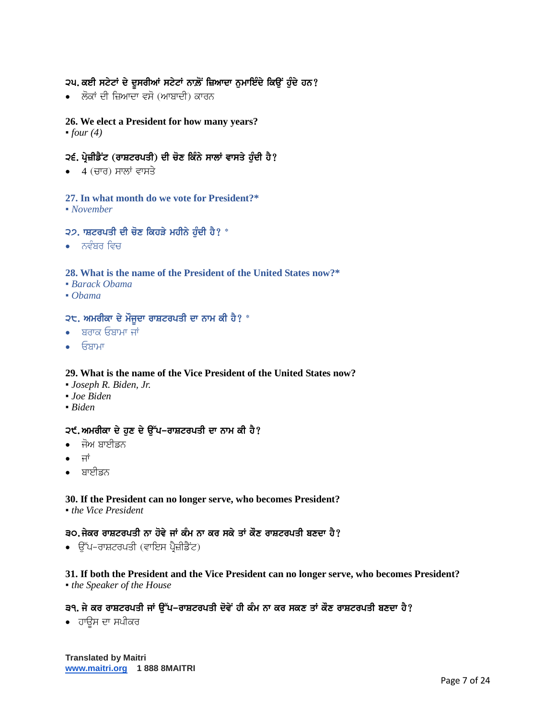# ੨੫. ਕਈ ਸਟੇਟਾਂ ਦੇ ਦੂਸਰੀਆਂ ਸਟੇਟਾਂ ਨਾਲ਼ੋਂ ਜ਼ਿਆਦਾ ਨੁਮਾਇੰਦੇ ਕਿਉਂ ਹੁੰਦੇ ਹਨ?

• ਲੋਕਾਂ ਦੀ ਜ਼ਿਆਦਾ ਵਸੋ (ਆਬਾਦੀ) ਕਾਰਨ

## **26. We elect a President for how many years?**

 $•$  *four* (4)

## ੨੬. ਪ੍ਰੇਜ਼ੀਡੈਂਟ (ਰਾਸ਼ਟਰਪਤੀ) ਦੀ ਚੋਣ ਕਿੰਨੇ ਸਾਲਾਂ ਵਾਸਤੇ ਹੰਦੀ ਹੈ?

 $\bullet$  4 (ਚਾਰ) ਸਾਲਾਂ ਵਾਸਤੇ

# **27. In what month do we vote for President?\***

▪ *November*

#### $22.$  ਸ਼ਟਰਪਤੀ ਦੀ ਚੋਣ ਕਿਹੜੇ ਮਹੀਨੇ ਹੰਦੀ ਹੈ? \*

 $\bullet$  ਨਵੰਬਰ ਵਿਚ

#### **28. What is the name of the President of the United States now?\***

- *Barack Obama*
- *Obama*

# $2<sup>2</sup>$ . ਅਮਰੀਕਾ ਦੇ ਮੌਜੂਦਾ ਰਾਸ਼ਟਰਪਤੀ ਦਾ ਨਾਮ ਕੀ ਹੈ? \*

- $\bullet$  ਬਰਾਕ ਓਬਾਮਾ ਜਾਂ
- ਓਬਾਮਾ

#### **29. What is the name of the Vice President of the United States now?**

- *Joseph R. Biden, Jr.*
- *Joe Biden*
- *Biden*

## 2੯. ਅਮਰੀਕਾ ਦੇ ਹਣ ਦੇ ਉੱਪ-ਰਾਸ਼ਟਰਪਤੀ ਦਾ ਨਾਮ ਕੀ ਹੈ?

- ∙ ਜੋਅ ਬਾਈਡਨ
- ਜਾਂ
- ਬਾਈਡਨ

# **30. If the President can no longer serve, who becomes President?**

▪ *the Vice President*

# ੩੦.ਜੇਕਰ ਰਾਸ਼ਟਰਪਤੀ ਨਾ ਹੋਵੇ ਜਾਂ ਕੰਮ ਨਾ ਕਰ ਸਕੇ ਤਾਂ ਕੌਣ ਰਾਸ਼ਟਰਪਤੀ ਬਣਦਾ ਹੈ?

 $\bullet$  ਉੱਪ-ਰਾਸ਼ਟਰਪਤੀ (ਵਾਇਸ ਪ੍ਰੈਜ਼ੀਡੈਂਟ)

## **31. If both the President and the Vice President can no longer serve, who becomes President?** ▪ *the Speaker of the House*

# 39. ਜੇ ਕਰ ਰਾਸ਼ਟਰਪਤੀ ਜਾਂ ਉੱਪ-ਰਾਸ਼ਟਰਪਤੀ ਦੋਵੇਂ ਹੀ ਕੰਮ ਨਾ ਕਰ ਸਕਣ ਤਾਂ ਕੌਣ ਰਾਸ਼ਟਰਪਤੀ ਬਣਦਾ ਹੈ?

∙ ਹਾੳਸ ਦਾ ਸਪੀਕਰ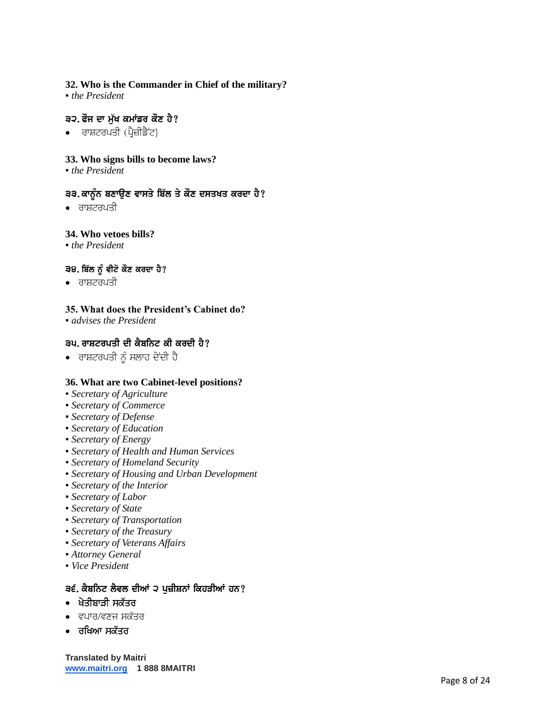# **32. Who is the Commander in Chief of the military?**

• *the President* 

## ੩੨. ਫੌਜ ਦਾ ਮੁੱਖ ਕਮਾਂਡਰ ਕੌਣ ਹੈ?

 $\bullet$  ਰਾਸ਼ਟਰਪਤੀ (ਪ੍ਰੈਜ਼ੀਡੈਂਟ)

## **33. Who signs bills to become laws?**

▪ *the President*

# 33. ਕਾਨੂੰਨ ਬਣਾਉਣ ਵਾਸਤੇ ਬਿੱਲ ਤੇ ਕੌਣ ਦਸਤਖਤ ਕਰਦਾ ਹੈ?

 $\bullet$  ਰਾਸ਼ਟਰਪਤੀ

## **34. Who vetoes bills?**

▪ *the President*

## ੩੪. ਬਿੱਲ ਨੂੰ ਵੀਟੋ ਕੌਣ ਕਰਦਾ ਹੈ?

 $\bullet$  ਰਾਸ਼ਟਰਪਤੀ

## **35. What does the President's Cabinet do?**

▪ *advises the President*

## ੩੫. ਰਾਸ਼ਟਰਪਤੀ ਦੀ ਕੈਬਨਿਟ ਕੀ ਕਰਦੀ ਹੈ?

 $\bullet$  ਰਾਸ਼ਟਰਪਤੀ ਨੂੰ ਸਲਾਹ ਦੇਂਦੀ ਹੈ

#### **36. What are two Cabinet-level positions?**

- *Secretary of Agriculture*
- *Secretary of Commerce*
- *Secretary of Defense*
- *Secretary of Education*
- *Secretary of Energy*
- *Secretary of Health and Human Services*
- *Secretary of Homeland Security*
- *Secretary of Housing and Urban Development*
- *Secretary of the Interior*
- *Secretary of Labor*
- *Secretary of State*
- *Secretary of Transportation*
- *Secretary of the Treasury*
- *Secretary of Veterans Affairs*
- *Attorney General*
- *Vice President*

#### ੩੬. ਕੈਬਨਿਟ ਲੈਵਲ ਦੀਆਂ ੨ ਪੁਜ਼ੀਸ਼ਨਾਂ ਕਿਹੜੀਆਂ ਹਨ?

- ਖੇਤੀਬਾੜੀ ਸਕੱਤਰ
- $\bullet$  ਵਪਾਰ/ਵਣਜ ਸਕੱਤਰ
- ਰਖਿਆ ਸਕੱਤਰ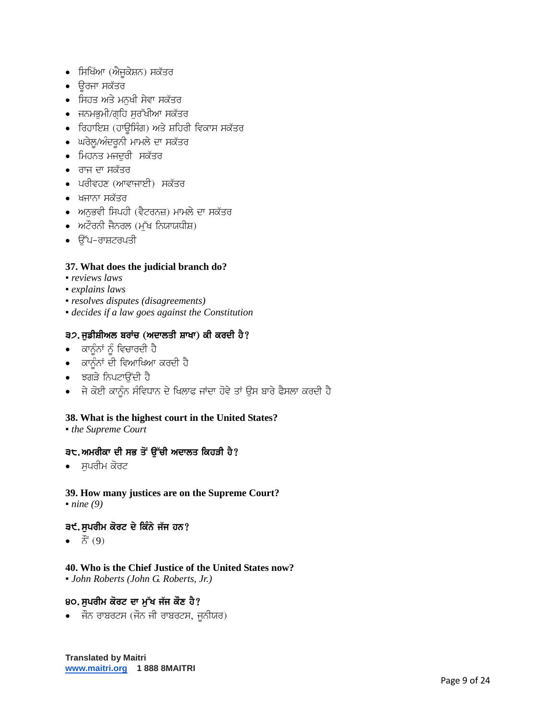- ਸਿਖਿੱਆ (ਐਜੁਕੇਸ਼ਨ) ਸਕੱਤਰ
- ਉਰਜਾ ਸਕੱਤਰ
- ਸਿਹਤ ਅਤੇ ਮਨੁਖੀ ਸੇਵਾ ਸਕੱਤਰ
- ਜਨਮਭਮੀ/ਗਹਿ ਸਰੱਖੀਆ ਸਕੱਤਰ
- ਰਿਹਾਇਸ਼ (ਹਾਊਸਿੰਗ) ਅਤੇ ਸ਼ਹਿਰੀ ਵਿਕਾਸ ਸਕੱਤਰ
- ਘਰੇਲੂ/ਅੰਦਰੂਨੀ ਮਾਮਲੇ ਦਾ ਸਕੱਤਰ
- ਮਿਹਨਤ ਮਜਦਰੀ ਸਕੱਤਰ
- ਰਾਜ ਦਾ ਸਕੱਤਰ
- ਪਰੀਵਹਣ (ਆਵਾਜਾਈ) ਸਕੱਤਰ
- ਖਜਾਨਾ ਸਕੱਤਰ
- ਅਨਭਵੀ ਸਿਪਹੀ (ਵੈਟਰਨਜ਼) ਮਾਮਲੇ ਦਾ ਸਕੱਤਰ
- $\bullet$  ਅਟੌਰਨੀ ਜੈਨਰਲ (ਮੱਖ ਨਿਯਾਯਧੀਸ਼)
- $\bullet$   $\theta$ ੱਪ-ਰਾਸ਼ਟਰਪਤੀ

# **37. What does the judicial branch do?**

- *reviews laws*
- *explains laws*
- *resolves disputes (disagreements)*
- *decides if a law goes against the Constitution*

## ੩੭. ਜੁਡੀਸ਼ੀਅਲ ਬਰਾਂਚ (ਅਦਾਲਤੀ ਸ਼ਾਖਾ) ਕੀ ਕਰਦੀ ਹੈ?

- $\bullet$  ਕਾਨੂੰਨਾਂ ਨੂੰ ਵਿਚਾਰਦੀ ਹੈ
- ਕਾਨੂੰਨਾਂ ਦੀ ਵਿਆਖਿਆ ਕਰਦੀ ਹੈ
- ਝਗੜੇ ਨਿਪਟਾਉਂਦੀ ਹੈ
- ਜੇ ਕੋਈ ਕਾਨੂੰਨ ਸੰਵਿਧਾਨ ਦੇ ਖਿਲਾਫ ਜਾਂਦਾ ਹੋਵੇ ਤਾਂ ਉਸ ਬਾਰੇ ਫੈਸਲਾ ਕਰਦੀ ਹੈ

## **38. What is the highest court in the United States?**

▪ *the Supreme Court*

## ੩੮.ਅਮਰੀਕਾ ਦੀ ਸਭ ਤੋਂ ੳੱਚੀ ਅਦਾਲਤ ਕਿਹੜੀ ਹੈ?

∙ ਸਪਰੀਮ ਕੋਰਟ

#### **39. How many justices are on the Supreme Court?** • *nine* (9)

## ੩੯.ਸਪਰੀਮ ਕੋਰਟ ਦੇ ਕਿੰਨੇ ਜੱਜ ਹਨ?

 $\bullet$   $\vec{c}$  (9)

## **40. Who is the Chief Justice of the United States now?**

▪ *John Roberts (John G. Roberts, Jr.)*

## 80. ਸੁਪਰੀਮ ਕੋਰਟ ਦਾ ਮੁੱਖ ਜੱਜ ਕੌਣ ਹੈ?

• ਜੌਨ ਰਾਬਰਟਸ (ਜੌਨ ਜੀ ਰਾਬਰਟਸ, ਜੁਨੀਯਰ)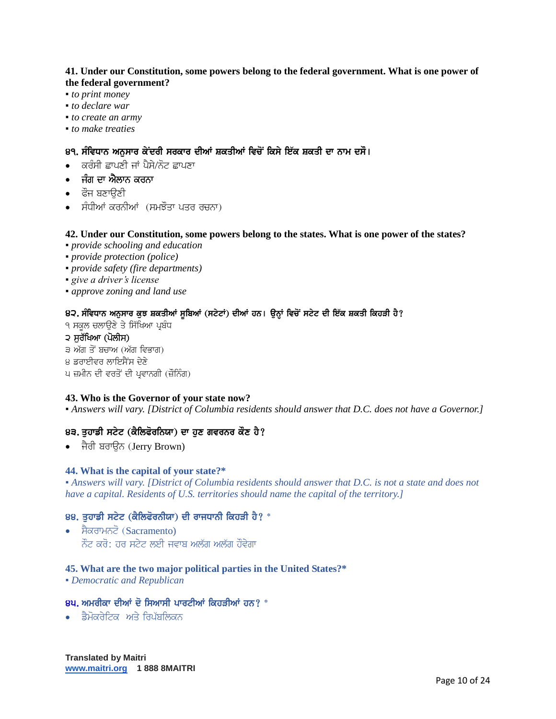#### **41. Under our Constitution, some powers belong to the federal government. What is one power of the federal government?**

- *to print money*
- *to declare war*
- *to create an army*
- *to make treaties*

## ੪੧. ਸੰਵਿਧਾਨ ਅਨਸਾਰ ਕੇਂਦਰੀ ਸਰਕਾਰ ਦੀਆਂ ਸ਼ਕਤੀਆਂ ਵਿਚੋਂ ਕਿਸੇ ਇੱਕ ਸ਼ਕਤੀ ਦਾ ਨਾਮ ਦਸੌ।

- ਕਰੰਸੀ ਛਾਪਣੀ ਜਾਂ ਪੈਸੇ/ਨੋਟ ਛਾਪਣਾ
- ਜੰਗ ਦਾ ਐਲਾਨ ਕਰਨਾ
- ਫੌਜ ਬਣਾੳਣੀ
- ਸੰਧੀਆਂ ਕਰਨੀਆਂ (ਸਮਝੌਤਾ ਪਤਰ ਰਚਨਾ)

## **42. Under our Constitution, some powers belong to the states. What is one power of the states?**

- *provide schooling and education*
- *provide protection (police)*
- *provide safety (fire departments)*
- *give a driver's license*
- *approve zoning and land use*

## 8੨. ਸੰਵਿਧਾਨ ਅਨੁਸਾਰ ਕੁਝ ਸ਼ਕਤੀਆਂ ਸੁਬਿਆਂ (ਸਟੇਟਾਂ) ਦੀਆਂ ਹਨ। ਉਨ੍ਹਾਂ ਵਿਚੋਂ ਸਟੇਟ ਦੀ ਇੱਕ ਸ਼ਕਤੀ ਕਿਹੜੀ ਹੈ?

- ੧ ਸਕਲ ਚਲਾੳਣੇ ਤੇ ਸਿੱਖਿਆ ਪਬੰਧ ੨ ਸਰੱਖਿਆ (ਪੋਲੀਸ) ੩ ਅੱਗ ਤੋਂ ਬਚਾਅ (ਅੱਗ ਵਿਭਾਗ)
- ੪ ਡਰਾਈਵਰ ਲਾਇਸੈਂਸ ਦੇਣੇ
- ਪ ਜ਼ਮੀਨ ਦੀ ਵਰਤੋਂ ਦੀ ਪ੍ਰਵਾਨਗੀ (ਜ਼ੌਨਿੰਗ)

## **43. Who is the Governor of your state now?**

▪ *Answers will vary. [District of Columbia residents should answer that D.C. does not have a Governor.]*

## ੪੩. ਤਹਾਡੀ ਸਟੇਟ (ਕੈਲਿਫੋਰਨਿਯਾ) ਦਾ ਹਣ ਗਵਰਨਰ ਕੌਣ ਹੈ?

• ਜੈਰੀ ਬਰਾਉਨ (Jerry Brown)

#### **44. What is the capital of your state?\***

▪ *Answers will vary. [District of Columbia residents should answer that D.C. is not a state and does not have a capital. Residents of U.S. territories should name the capital of the territory.]*

#### 88. ਤਹਾਡੀ ਸਟੇਟ (ਕੈਲਿਫੋਰਨੀਯਾ) ਦੀ ਰਾਜਧਾਨੀ ਕਿਹੜੀ ਹੈ? \*

• ਸੈਕਰਾਮਨਟੋ $(Sacramento)$ ਨੌਟ ਕਰੋ: ਹਰ ਸਟੇਟ ਲਈ ਜਵਾਬ ਅਲੱਗ ਅਲੱਗ ਹੋਵੇਗਾ

## **45. What are the two major political parties in the United States?\***

▪ *Democratic and Republican*

#### $49.$  ਅਮਰੀਕਾ ਦੀਆਂ ਦੋ ਸਿਆਸੀ ਪਾਰਟੀਆਂ ਕਿਹਤੀਆਂ ਹਨ?  $^*$

 $\cdot$  ਡੈਮੋਕਰੇਟਿਕ ਅਤੇ ਗਿੱਸਲਿਕਨ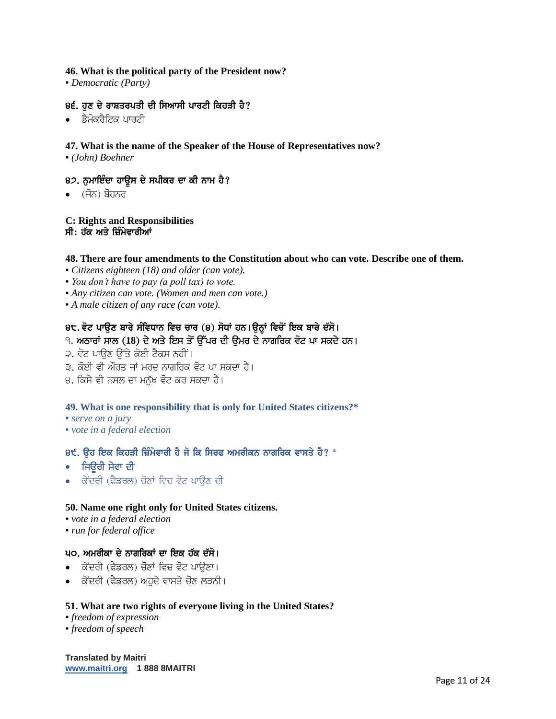#### **46. What is the political party of the President now?**

▪ *Democratic (Party)*

### 8੬. ਹਣ ਦੇ ਰਾਸ਼ਤਰਪਤੀ ਦੀ ਸਿਆਸੀ ਪਾਰਟੀ ਕਿਹੜੀ ਹੈ?

• ਡੈਮੋਕਰੈਟਿਕ ਪਾਰਟੀ

#### **47. What is the name of the Speaker of the House of Representatives now?**

▪ *(John) Boehner*

#### 82. ਨਮਾਇੰਦਾ ਹਾਉਸ ਦੇ ਸਪੀਕਰ ਦਾ ਕੀ ਨਾਮ ਹੈ?

 $\bullet$   $($ ਜੋਨ) ਬੋਹਨਰ

#### **C: Rights and Responsibilities** ਸੀ: ਹੱਕ ਅਤੇ ਜ਼ਿੰਮੇਵਾਰੀਆਂ

#### **48. There are four amendments to the Constitution about who can vote. Describe one of them.**

- *Citizens eighteen (18) and older (can vote).*
- *You don't have to pay (a poll tax) to vote.*
- *Any citizen can vote. (Women and men can vote.)*
- *A male citizen of any race (can vote).*

#### 8੮. ਵੋਟ ਪਾਉਣ ਬਾਰੇ ਸੰਵਿਧਾਨ ਵਿਚ ਚਾਰ (੪) ਸੋਧਾਂ ਹਨ।ਉਨ੍ਹਾਂ ਵਿਚੋਂ ਇਕ ਬਾਰੇ ਦੱਸੋ।

## ੧. ਅਠਾਰਾਂ ਸਾਲ (18) ਦੇ ਅਤੇ ਇਸ ਤੋਂ ਉੱਪਰ ਦੀ ਉਮਰ ਦੇ ਨਾਗਰਿਕ ਵੋਟ ਪਾ ਸਕਦੇ ਹਨ।

- ੨. ਵੋਟ ਪਾੳਣ ੳੱਤੇ ਕੋਈ ਟੈਕਸ ਨਹੀਂ ।
- ੩. ਕੋਈ ਵੀ ਔਰਤ ਜਾਂ ਮਰਦ ਨਾਗਰਿਕ ਵੋਟ ਪਾ ਸਕਦਾ ਹੈ।
- ੪. ਕਿਸੇ ਵੀ ਨਸਲ ਦਾ ਮਨੱਖ ਵੋਟ ਕਰ ਸਕਦਾ ਹੈ।

#### **49. What is one responsibility that is only for United States citizens?\***

- *serve on a jury*
- *vote in a federal election*

## 8੯. ੳਹ ਇਕ ਕਿਹੜੀ ਜ਼ਿੰਮੇਵਾਰੀ ਹੈ ਜੋ ਕਿ ਸਿਰਫ ਅਮਰੀਕਨ ਨਾਗਰਿਕ ਵਾਸਤੇ ਹੈ? \*

- $\cdot$  ਜਿਓਰੀ ਸੇਵਾ ਦੀ
- ∙ ਕੇਂਦਰੀ (ਫੈਡਰਲ) ਚੋਣਾਂ ਵਿਚ ਵੋਟ ਪਾੳਣ ਦੀ

#### **50. Name one right only for United States citizens.**

- *vote in a federal election*
- *run for federal office*

#### ੫੦. ਅਮਰੀਕਾ ਦੇ ਨਾਗਰਿਕਾਂ ਦਾ ਇਕ ਹੱਕ ਦੱਸੋ।

- ਕੇਂਦਰੀ (ਫੈਡਰਲ) ਚੋਣਾਂ ਵਿਚ ਵੋਟ ਪਾੳਣਾ।
- $\bullet$  ਕੇਂਦਰੀ (ਫੈਡਰਲ) ਅਹਦੇ ਵਾਸਤੇ ਚੋਣ ਲੜਨੀ।

#### **51. What are two rights of everyone living in the United States?**

- *freedom of expression*
- *freedom of speech*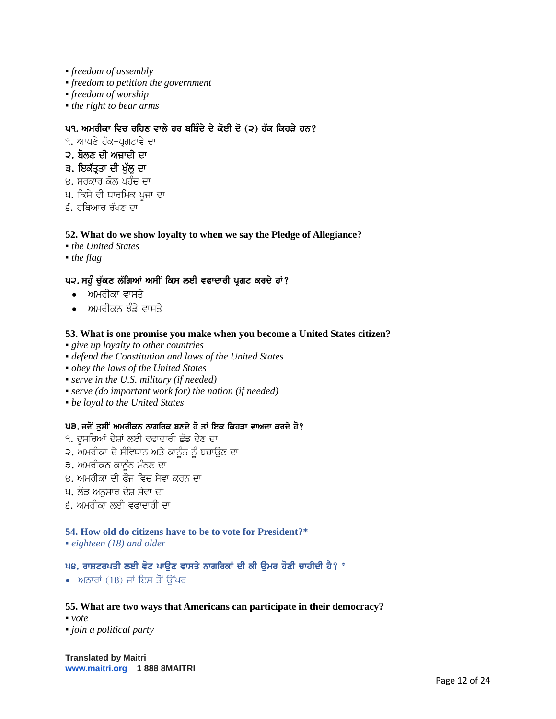- *freedom of assembly*
- *freedom to petition the government*
- *freedom of worship*
- *the right to bear arms*

## ਪ੧. ਅਮਰੀਕਾ ਵਿਚ ਰਹਿਣ ਵਾਲੇ ਹਰ ਬਸ਼ਿੰਦੇ ਦੇ ਕੋਈ ਦੋ (੨) ਹੱਕ ਕਿਹੜੇ ਹਨ?

9. ਆਪਣੇ ਹੱਕ-ਪਗਟਾਵੇ ਦਾ

## ੨. ਬੋਲਣ ਦੀ ਅਜ਼ਾਦੀ ਦਾ

## ੩. ਇਕੱਤ੍ਰਤਾ ਦੀ ਖੱਲ੍ਹ ਦਾ

- ੪. ਸਰਕਾਰ ਕੋਲ ਪਹੁੰਚ ਦਾ
- ਪ. ਕਿਸੇ ਵੀ ਧਾਰਮਿਕ ਪਜਾ ਦਾ
- $f$ , ਹਥਿਆਰ ਰੱਖਣ ਦਾ

## **52. What do we show loyalty to when we say the Pledge of Allegiance?**

- *the United States*
- *the flag*

## ਪ੨. ਸਹੰ ਚੱਕਣ ਲੱਗਿਆਂ ਅਸੀਂ ਕਿਸ ਲਈ ਵਫਾਦਾਰੀ ਪ੍ਰਗਟ ਕਰਦੇ ਹਾਂ?

- ਅਮਰੀਕਾ ਵਾਸਤੇ
- $\bullet$  ਅਮਰੀਕਨ ਝੰਡੇ ਵਾਸਤੇ

#### **53. What is one promise you make when you become a United States citizen?**

- *give up loyalty to other countries*
- *defend the Constitution and laws of the United States*
- *obey the laws of the United States*
- *serve in the U.S. military (if needed)*
- *serve (do important work for) the nation (if needed)*
- *be loyal to the United States*

## ਪ੩. ਜਦੋਂ ਤਸੀਂ ਅਮਰੀਕਨ ਨਾਗਰਿਕ ਬਣਦੇ ਹੋ ਤਾਂ ਇਕ ਕਿਹੜਾ ਵਾਅਦਾ ਕਰਦੇ ਹੋ?

- ੧. ਦੁਸਰਿਆਂ ਦੇਸ਼ਾਂ ਲਈ ਵਫਾਦਾਰੀ ਛੱਡ ਦੇਣ ਦਾ
- ੨. ਅਮਰੀਕਾ ਦੇ ਸੰਵਿਧਾਨ ਅਤੇ ਕਾਨੰਨ ਨੰ ਬਚਾੳਣ ਦਾ
- ੩. ਅਮਰੀਕਨ ਕਾਨੰਨ ਮੰਨਣ ਦਾ
- 8. ਅਮਰੀਕਾ ਦੀ ਫੌਜ ਵਿਚ ਸੇਵਾ ਕਰਨ ਦਾ
- ਪ, ਲੋਤ ਅਨਸਾਰ ਦੇਸ਼ ਸੇਵਾ ਦਾ
- ੬. ਅਮਰੀਕਾ ਲਈ ਵਫਾਦਾਰੀ ਦਾ

#### **54. How old do citizens have to be to vote for President?\***

▪ *eighteen (18) and older*

#### ਪ੪. ਰਾਸ਼ਟਰਪਤੀ ਲਈ ਵੋਟ ਪਾਉਣ ਵਾਸਤੇ ਨਾਗਰਿਕਾਂ ਦੀ ਕੀ ਉਮਰ ਹੋਣੀ ਚਾਹੀਦੀ ਹੈ? \*

• ਅਠਾਰਾਂ  $(18)$  ਜਾਂ ਇਸ ਤੋਂ ਉੱਪਰ

#### **55. What are two ways that Americans can participate in their democracy?**

- *vote*
- *join a political party*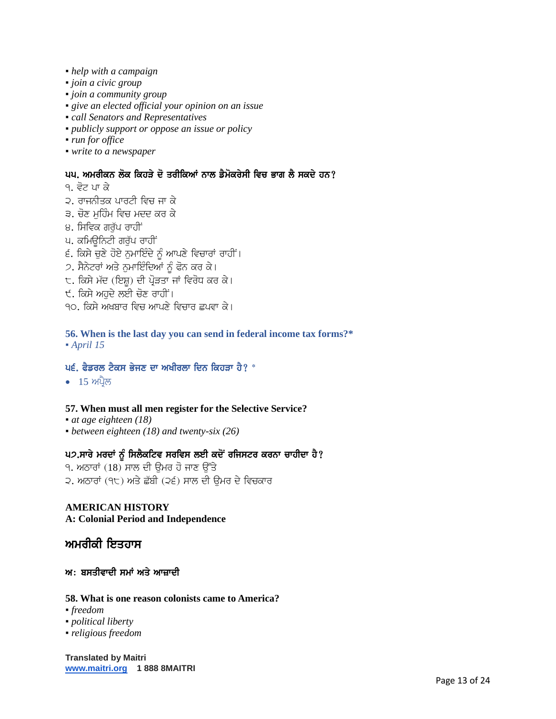- *help with a campaign*
- *join a civic group*
- *join a community group*
- *give an elected official your opinion on an issue*
- *call Senators and Representatives*
- *publicly support or oppose an issue or policy*
- *run for office*
- *write to a newspaper*

## ਪ੫. ਅਮਰੀਕਨ ਲੋਕ ਕਿਹੜੇ ਦੋ ਤਰੀਕਿਆਂ ਨਾਲ ਡੈਮੋਕਰੇਸੀ ਵਿਚ ਭਾਗ ਲੈ ਸਕਦੇ ਹਨ?

- <u>੧. ਵੋਟ ਪਾ ਕੇ</u>
- ੨. ਰਾਜਨੀਤਕ ਪਾਰਟੀ ਵਿਚ ਜਾ ਕੇ
- ੩. ਚੋਣ ਮਹਿੰਮ ਵਿਚ ਮਦਦ ਕਰ ਕੇ
- ੪. ਸਿਵਿਕ ਗਰੱਪ ਰਾਹੀਂ
- ਪ. ਕਮਿਊਨਿਟੀ ਗਰੱਪ ਰਾਹੀਂ
- ੬. ਕਿਸੇ ਚੁਣੇ ਹੋਏ ਨੁਮਾਇੰਦੇ ਨੂੰ ਆਪਣੇ ਵਿਚਾਰਾਂ ਰਾਹੀਂ।
- 2. ਸੈਨੇਟਰਾਂ ਅਤੇ ਨਮਾਇੰਦਿਆਂ ਨੂੰ ਫੋਨ ਕਰ ਕੇ।
- ੮. ਕਿਸੇ ਮੱਦ (ਇਸ਼) ਦੀ ਪ੍ਰੋੜਤਾ ਜਾਂ ਵਿਰੋਧ ਕਰ ਕੇ।
- ੯. ਕਿਸੇ ਅਹਦੇ ਲਈ ਚੋਣ ਰਾਹੀਂ।
- <u>90. ਕਿਸੇ ਅਖਬਾਰ ਵਿਚ ਆਪਣੇ ਵਿਚਾਰ ਛਪਵਾ ਕੇ।</u>

**56. When is the last day you can send in federal income tax forms?\*** ▪ *April 15*

## ਪ੬. ਫੈਡਰਲ ਟੈਕਸ ਭੇਜਣ ਦਾ ਅਖੀਰਲਾ ਦਿਨ ਕਿਹੜਾ ਹੈ?  $^*$

 $\bullet$  15 ਅਪ੍ਰੈਲ

#### **57. When must all men register for the Selective Service?**

- *at age eighteen (18)*
- *between eighteen (18) and twenty-six (26)*

## ਪ੭.ਸਾਰੇ ਮਰਦਾਂ ਨੂੰ ਸਿਲੈਕਟਿਵ ਸਰਵਿਸ ਲਈ ਕਦੋਂ ਰਜਿਸਟਰ ਕਰਨਾ ਚਾਹੀਦਾ ਹੈ?

 $9.$  ਅਠਾਰਾਂ  $(18)$  ਸਾਲ ਦੀ ਉਮਰ ਹੋ ਜਾਣ ਉੱਤੇ 2. ਅਠਾਰਾਂ (੧੮) ਅਤੇ ਛੱਬੀ (੨੬) ਸਾਲ ਦੀ ੳਮਰ ਦੇ ਵਿਚਕਾਰ

# **AMERICAN HISTORY**

## **A: Colonial Period and Independence**

# ਅਮਰੀਕੀ ਇਤਹਾਸ

#### ਅ: ਬਸਤੀਵਾਦੀ ਸਮਾਂ ਅਤੇ ਆਜ਼ਾਦੀ

#### **58. What is one reason colonists came to America?**

- *freedom*
- *political liberty*
- *religious freedom*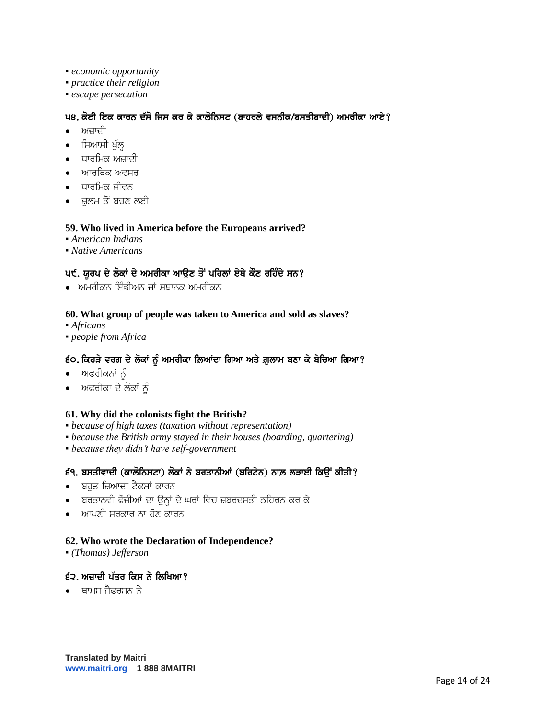- *economic opportunity*
- *practice their religion*
- *escape persecution*

## ਪ੪. ਕੋਈ ਇਕ ਕਾਰਨ ਦੱਸੋ ਜਿਸ ਕਰ ਕੇ ਕਾਲੋਨਿਸਟ (ਬਾਹਰਲੇ ਵਸਨੀਕ/ਬਸਤੀਬਾਦੀ) ਅਮਰੀਕਾ ਆਏ?

- ਅਜ਼ਾਦੀ
- ਸਿਆਸੀ ਖੁੱਲ੍ਹ
- ਧਾਰਮਿਕ ਅਜ਼ਾਦੀ
- ਆਰਥਿਕ ਅਵਸਰ
- $\bullet$  ਧਾਰਮਿਕ ਜੀਵਨ
- ਜ਼ਲਮ ਤੋਂ ਬਚਣ ਲਈ

#### **59. Who lived in America before the Europeans arrived?**

- *American Indians*
- *Native Americans*

# ਪ੯. ਯੂਰਪ ਦੇ ਲੋਕਾਂ ਦੇ ਅਮਰੀਕਾ ਆਉਣ ਤੋਂ ਪਹਿਲਾਂ ਏਥੇ ਕੌਣ ਰਹਿੰਦੇ ਸਨ?

 $\bullet$  ਅਮਰੀਕਨ ਇੰਡੀਅਨ ਜਾਂ ਸਥਾਨਕ ਅਮਰੀਕਨ

#### **60. What group of people was taken to America and sold as slaves?**

- *Africans*
- *people from Africa*

#### ੬੦. ਕਿਹੜੇ ਵਰਗ ਦੇ ਲੋਕਾਂ ਨੂੰ ਅਮਰੀਕਾ ਲ਼ਿਆਂਦਾ ਗਿਆ ਅਤੇ ਗ਼ੁਲਾਮ ਬਣਾ ਕੇ ਬੇਚਿਆ ਗਿਆ?

- $\bullet$  ਅਫਰੀਕਨਾਂ ਨੂੰ
- ਅਫਰੀਕਾ ਦੇ ਲੋਕਾਂ ਨੂੰ

#### **61. Why did the colonists fight the British?**

- *because of high taxes (taxation without representation)*
- *because the British army stayed in their houses (boarding, quartering)*
- *because they didn't have self-government*

### ई੧. ਬਸਤੀਵਾਦੀ (ਕਾਲੋਨਿਸਟਾ) ਲੋਕਾਂ ਨੇ ਬਰਤਾਨੀਆਂ (ਬਰਿਟੇਨ) ਨਾਲ਼ ਲੜਾਈ ਕਿਉਂ ਕੀਤੀ?

- ਬਹੁਤ ਜ਼ਿਆਦਾ ਟੈਕਸਾਂ ਕਾਰਨ
- ਬਰਤਾਨਵੀ ਫੌਜੀਆਂ ਦਾ ਉਨ੍ਹਾਂ ਦੇ ਘਰਾਂ ਵਿਚ ਜ਼ਬਰਦਸਤੀ ਠਹਿਰਨ ਕਰ ਕੇ।
- $\bullet$  ਅਾਪਣੀ ਸਰਕਾਰ ਨਾ ਹੋਣ ਕਾਰਨ

#### **62. Who wrote the Declaration of Independence?**

▪ *(Thomas) Jefferson*

## $\epsilon$ ੨. ਅਜ਼ਾਦੀ ਪੱਤਰ ਕਿਸ ਨੇ ਲਿਖਿਆ?

 $\bullet$  ਬਾਮਸ ਜੈਫਰਸਨ ਨੇ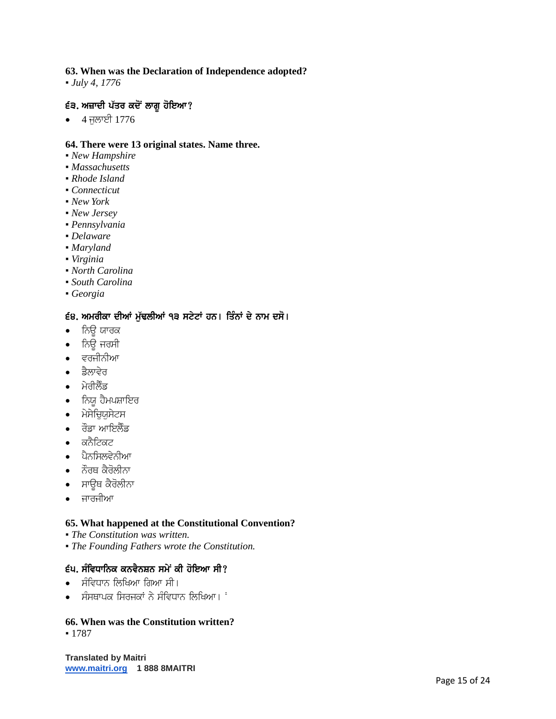#### **63. When was the Declaration of Independence adopted?**

▪ *July 4, 1776*

## £੩. ਅਜ਼ਾਦੀ ਪੱਤਰ ਕਦੋਂ ਲਾਗੂ ਹੋਇਆ?

• 4 ਜੁਲਾਈ 1776

#### **64. There were 13 original states. Name three.**

- *New Hampshire*
- *Massachusetts*
- *Rhode Island*
- *Connecticut*
- *New York*
- *New Jersey*
- *Pennsylvania*
- *Delaware*
- *Maryland*
- *Virginia*
- *North Carolina*
- *South Carolina*
- *Georgia*

# 68. ਅਮਰੀਕਾ ਦੀਆਂ ਮੁੱਢਲੀਆਂ ੧੩ ਸਟੇਟਾਂ ਹਨ। ਤਿੰਨਾਂ ਦੇ ਨਾਮ ਦਸੋ।

- $\bullet$  ਨਿਊ ਯਾਰਕ
- ਨਿਊ ਜਰਸੀ
- $\bullet$  ਵਰਜੀਨੀਆ
- ਡੈਲਾਵੇਰ
- $\bullet$  ਮੇਰੀਲੈਂਡ
- ਨਿਯੁ ਹੈਮਪਸ਼ਾਇਰ
- $\bullet$  ਮੇਸੇਚਿਯਸੇਟਸ
- $\bullet$  ਰੌਡਾ ਆਇਲੈਂਡ
- $\bullet$  ਕਨੈਟਿਕਟ
- $\bullet$  ਪੈਨਸਿਲਵੇਨੀਆ
- $\bullet$  ਨੌਰਥ ਕੈਰੋਲੀਨਾ
- ਸਾਉਥ ਕੈਰੋਲੀਨਾ
- ∙ ਜਾਰਜੀਆ

#### **65. What happened at the Constitutional Convention?**

- *The Constitution was written.*
- *The Founding Fathers wrote the Constitution.*

#### ੬੫. ਸੰਵਿਧਾਨਿਕ ਕਨਵੈਨਸ਼ਨ ਸਮੇਂ ਕੀ ਹੋਇਆ ਸੀ?

- ਸੰਵਿਧਾਨ ਲਿਖਿਆ ਗਿਆ ਸੀ।
- ਸੰਸਥਾਪਕ ਸਿਰਜਕਾਂ ਨੇ ਸੰਵਿਧਾਨ ਲਿਖਿਆ।  $\cdot$

#### **66. When was the Constitution written?**

▪ 1787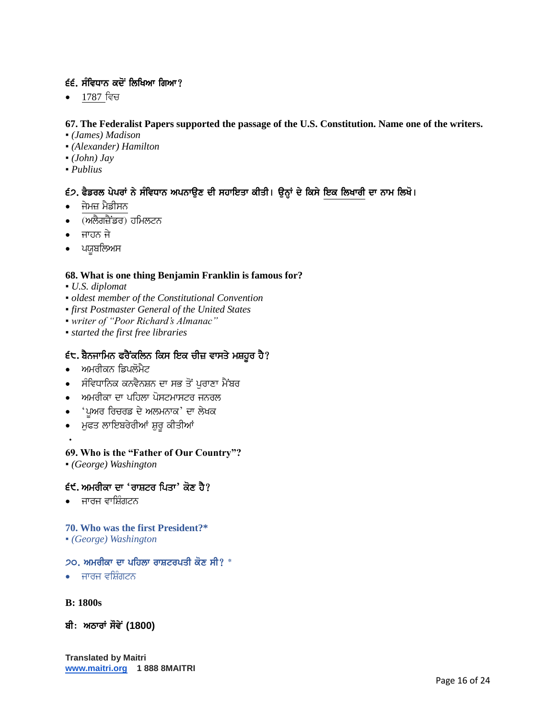# $\epsilon$ ੬. ਸੰਵਿਧਾਨ ਕਦੋਂ ਲਿਖਿਆ ਗਿਆ?

• 1787 ਵਿਚ

## **67. The Federalist Papers supported the passage of the U.S. Constitution. Name one of the writers.**

- *(James) Madison*
- *(Alexander) Hamilton*
- *(John) Jay*
- *Publius*

# ੬੭. ਫੈਡਰਲ ਪੇਪਰਾਂ ਨੇ ਸੰਵਿਧਾਨ ਅਪਨਾਉਣ ਦੀ ਸਹਾਇਤਾ ਕੀਤੀ। ਉਨ੍ਹਾਂ ਦੇ ਕਿਸੇ ਇਕ ਲਿਖਾਰੀ ਦਾ ਨਾਮ ਲਿਖੋ।

- ਜੇਮਜ਼ ਮੈਡੀਸਨ
- (ਅਲੈਗਜ਼ੈਂਡਰ) ਹਮਿਲਟਨ
- ਜਾਹਨ ਜੇ
- ਪਯੁਬਲਿਅਸ

## **68. What is one thing Benjamin Franklin is famous for?**

- *U.S. diplomat*
- *oldest member of the Constitutional Convention*
- *first Postmaster General of the United States*
- *writer of "Poor Richard's Almanac"*
- *started the first free libraries*

# $\epsilon$ ੮. ਬੈਨਜਾਮਿਨ ਫਰੈਂਕਲਿਨ ਕਿਸ ਇਕ ਚੀਜ਼ ਵਾਸਤੇ ਮਸ਼ਹੂਰ ਹੈ?

- ਅਮਰੀਕਨ ਡਿਪਲੋਮੈਟ
- ਸੰਵਿਧਾਨਿਕ ਕਨਵੈਨਸ਼ਨ ਦਾ ਸਭ ਤੋਂ ਪਰਾਣਾ ਮੈਂਬਰ
- ਅਮਰੀਕਾ ਦਾ ਪਹਿਲਾ ਪੋਸਟਮਾਸਟਰ ਜਨਰਲ
- 'ਪਅਰ ਰਿਚਰਡ ਦੇ ਅਲਮਨਾਕ' ਦਾ ਲੇਖਕ
- ∙ ਮੁਫਤ ਲਾਇਬਰੇਰੀਆਂ ਸ਼ੁਰੂ ਕੀਤੀਆਂ

## **69. Who is the "Father of Our Country"?**

▪ *(George) Washington*

# $\mathbf{f}$ ੯. ਅਮਰੀਕਾ ਦਾ 'ਰਾਸ਼ਟਰ ਪਿਤਾ' ਕੋਣ ਹੈ?

ਜਾਰਜ ਵਾਸ਼ਿੰਗਟਨ

## **70. Who was the first President?\***

▪ *(George) Washington*

## $20.$  ਅਮਰੀਕਾ ਦਾ ਪਹਿਲਾ ਰਾਸ਼ਟਰਪਤੀ ਕੋਣ ਸੀ?  $^*$

- ਜਾਰਜ ਵਸ਼ਿੰਗਟਨ
- **B: 1800s**
- ਬੀ: ਅਠਾਰਾਂ ਸੌਵੇਂ (1800)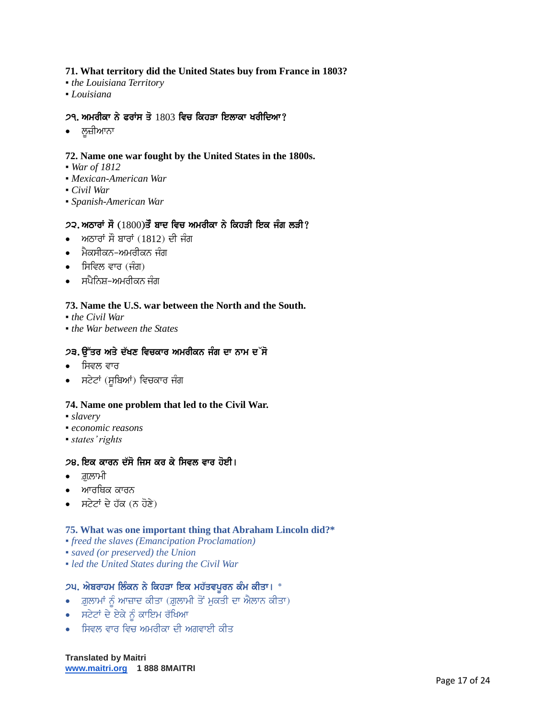#### **71. What territory did the United States buy from France in 1803?**

- *the Louisiana Territory*
- *Louisiana*

## $29.$  ਅਮਰੀਕਾ ਨੇ ਫਰਾਂਸ ਤੋ $1803$  ਵਿਚ ਕਿਹਤਾ ਇਲਾਕਾ ਖਰੀਦਿਆ?

● ਲ਼ਜ਼ੀਆਨਾ

## **72. Name one war fought by the United States in the 1800s.**

- *War of 1812*
- *Mexican-American War*
- *Civil War*
- *Spanish-American War*

## $2$ ੨. ਅਠਾਰਾਂ ਸੌ  $(1800)$ ਤੌ ਬਾਦ ਵਿਚ ਅਮਰੀਕਾ ਨੇ ਕਿਹੜੀ ਇਕ ਜੰਗ ਲੜੀ?

- $\bullet$  ਅਠਾਰਾਂ ਸੌ ਬਾਰਾਂ (1812) ਦੀ ਜੰਗ
- ∙ ਮੈਕਸੀਕਨ-ਅਮਰੀਕਨ ਜੰਗ
- $\bullet$  ਸਿਵਿਲ ਵਾਰ (ਜੰਗ)
- ਸਪੈਨਿਸ਼–ਅਮਰੀਕਨ ਜੰਗ

## **73. Name the U.S. war between the North and the South.**

- *the Civil War*
- *the War between the States*

## 2੩. ੳੱਤਰ ਅਤੇ ਦੱਖਣ ਵਿਚਕਾਰ ਅਮਰੀਕਨ ਜੰਗ ਦਾ ਨਾਮ ਦ**ੱ**ਸੋ

- ∙ ਸਿਵਲ ਵਾਰ
- ਸਟੇਟਾਂ (ਸੂਬਿਆਂ) ਵਿਚਕਾਰ ਜੰਗ

#### **74. Name one problem that led to the Civil War.**

- *slavery*
- *economic reasons*
- *states' rights*

## 28. ਇਕ ਕਾਰਨ ਦੱਸੋ ਜਿਸ ਕਰ ਕੇ ਸਿਵਲ ਵਾਰ ਹੋਈ।

- $\bullet$  ਗ਼ਲਾਮੀ
- ਆਰਥਿਕ ਕਾਰਨ
- ਸਟੇਟਾਂ ਦੇ ਹੱਕ (ਨ ਹੋਣੇ)

#### **75. What was one important thing that Abraham Lincoln did?\***

- *freed the slaves (Emancipation Proclamation)*
- *saved (or preserved) the Union*
- *led the United States during the Civil War*

## ੭੫. ਐਬਰਾਹਮ ਲਿੰਕਨ ਨੇ ਕਿਹੜਾ ਇਕ ਮਹੱਤਵਪੂਰਨ ਕੰਮ ਕੀਤਾ। \*

- $\bullet$  ਗ਼ੁਲਾਮਾਂ ਨੂੰ ਆਜ਼ਾਦ ਕੀਤਾ (ਗ਼ੁਲਾਮੀ ਤੋਂ ਮੁਕਤੀ ਦਾ ਐਲਾਨ ਕੀਤਾ)
- $\cdot$  ਸਟੇਟਾਂ ਦੇ ਏਕੇ ਨੂੰ ਕਾਇਮ ਰੱਖਿਆ
- $\bullet$  ਸਿਵਲ ਵਾਰ ਵਿਚ ਅਮਰੀਕਾ ਦੀ ਅਗਵਾਈ ਕੀਤ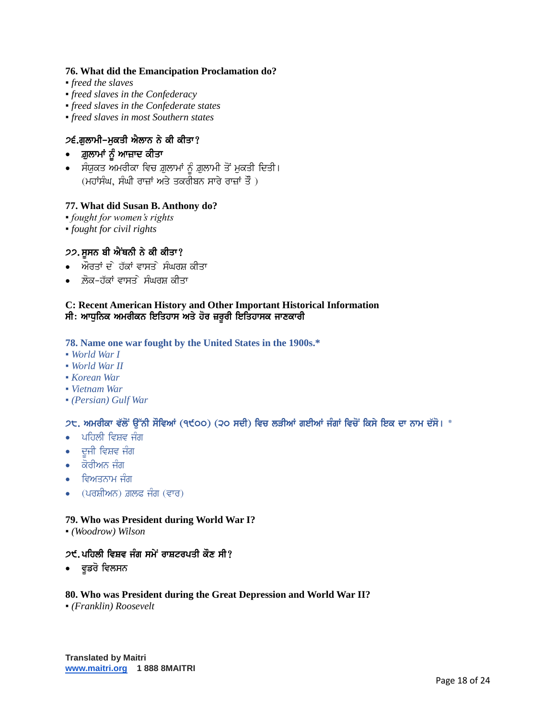#### **76. What did the Emancipation Proclamation do?**

- *freed the slaves*
- *freed slaves in the Confederacy*
- *freed slaves in the Confederate states*
- *freed slaves in most Southern states*

## 2੬.ਗੁਲਾਮੀ-ਮੁਕਤੀ ਐਲਾਨ ਨੇ ਕੀ ਕੀਤਾ?

- ਗ਼ੁਲਾਮਾਂ ਨੂੰ ਆਜ਼ਾਦ ਕੀਤਾ
- ਸੰਯੁਕਤ ਅਮਰੀਕਾ ਵਿਚ ਗ਼ੁਲਾਮਾਂ ਨੂੰ ਗ਼ੁਲਾਮੀ ਤੋਂ ਮੁਕਤੀ ਦਿਤੀ।  $($ ਮਹਾਂਸੰਘ, ਸੰਘੀ ਰਾਜ਼ਾਂ ਅਤੇ ਤਕਰੀਬਨ ਸਾਰੇ ਰਾਜ਼ਾਂ ਤੌ $\,$  )

#### **77. What did Susan B. Anthony do?**

- *fought for women's rights*
- *fought for civil rights*

#### 22. ਸੁਸਨ ਬੀ ਐਂਥਨੀ ਨੇ ਕੀ ਕੀਤਾ?

- ਔਰਤਾਂ ਦੇ ਹੱਕਾਂ ਵਾਸਤੇ ਸੰਘਰਸ਼ ਕੀਤਾ
- ਲੋਕ-ਹੱਕਾਂ ਵਾਸਤ**ੇ ਸੰਘਰਸ਼ ਕੀ**ਤਾ

#### **C: Recent American History and Other Important Historical Information** ਸੀ: ਆਧੁਨਿਕ ਅਮਰੀਕਨ ਇਤਿਹਾਸ ਅਤੇ ਹੋਰ ਜ਼ਰੂਰੀ ਇਤਿਹਾਸਕ ਜਾਣਕਾਰੀ

#### **78. Name one war fought by the United States in the 1900s.\***

- *World War I*
- *World War II*
- *Korean War*
- *Vietnam War*
- *(Persian) Gulf War*

#### ੭੮. ਅਮਰੀਕਾ ਵੱਲੋਂ ਉੱਨੀ ਸੌਵਿਆਂ (੧੯੦੦) (੨੦ ਸਦੀ) ਵਿਚ ਲੜੀਆਂ ਗਈਆਂ ਜੰਗਾਂ ਵਿਚੋਂ ਕਿਸੇ ਇਕ ਦਾ ਨਾਮ ਦੱਸੋ। \*

- $\bullet$  ਪਹਿਲੀ ਵਿਸ਼ਵ ਜੰਗ
- $\bullet$  ਦੂਜੀ ਵਿਸ਼ਵ ਜੰਗ
- $\bullet$  ਕੋਰੀਅਨ ਜੰਗ
- ਵਿਅਤਨਾਮ ਜੰਗ
- $\bullet$  (ਪਰਸ਼ੀਅਨ) ਗ਼ਲਫ ਜੰਗ (ਵਾਰ)

#### **79. Who was President during World War I?**

▪ *(Woodrow) Wilson*

#### $25.$ ਪਹਿਲੀ ਵਿਸ਼ਵ ਜੰਗ ਸਮੇਂ ਰਾਸ਼ਟਰਪਤੀ ਕੌਣ ਸੀ?

• ਵਡਰੋ ਵਿਲਸਨ

#### **80. Who was President during the Great Depression and World War II?**

▪ *(Franklin) Roosevelt*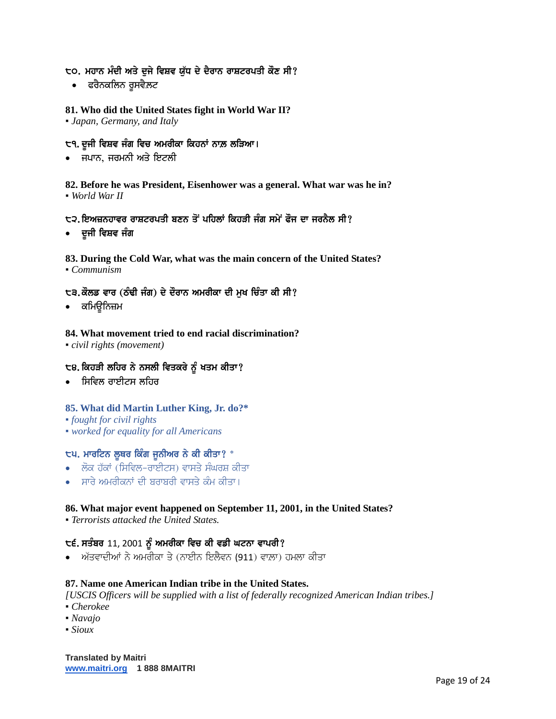## to. ਮਹਾਨ ਮੰਦੀ ਅਤੇ ਦਜੇ ਵਿਸ਼ਵ ਯੱਧ ਦੇ ਦੈਰਾਨ ਰਾਸ਼ਟਰਪਤੀ ਕੌਣ ਸੀ?

• ਫਰੈਨਕਲਿਨ ਰੁਸਵੈ.ਲਟ

# **81. Who did the United States fight in World War II?**

▪ *Japan, Germany, and Italy*

# ੮੧. ਦੂਜੀ ਵਿਸ਼ਵ ਜੰਗ ਵਿਚ ਅਮਰੀਕਾ ਕਿਹਨਾਂ ਨਾਲ਼ ਲੜਿਆ।

• ਜਪਾਨ, ਜਰਮਨੀ ਅਤੇ ਇਟਲੀ

**82. Before he was President, Eisenhower was a general. What war was he in?** ▪ *World War II*

# ੮੨.ਇਅਜ਼ਨਹਾਵਰ ਰਾਸ਼ਟਰਪਤੀ ਬਣਨ ਤੋਂ ਪਹਿਲਾਂ ਕਿਹੜੀ ਜੰਗ ਸਮੇਂ ਫੌਜ ਦਾ ਜਰਨੈਲ ਸੀ?

• ਦੂਜੀ ਵਿਸ਼ਵ ਜੰਗ

## **83. During the Cold War, what was the main concern of the United States?**

▪ *Communism*

## ੮੩.ਕੌਲਡ ਵਾਰ (ਠੰਢੀ ਜੰਗ) ਦੇ ਦੌਰਾਨ ਅਮਰੀਕਾ ਦੀ ਮੁਖ ਚਿੰਤਾ ਕੀ ਸੀ?

• ਕਮਿੳਨਿਜ਼ਮ

## **84. What movement tried to end racial discrimination?**

▪ *civil rights (movement)*

## ੮੪. ਕਿਹੜੀ ਲਹਿਰ ਨੇ ਨਸਲੀ ਵਿਤਕਰੇ ਨੂੰ ਖਤਮ ਕੀਤਾ?

 $\cdot$  ਸਿਵਿਲ ਰਾਈਟਸ ਲਹਿਰ

#### **85. What did Martin Luther King, Jr. do?\***

- *fought for civil rights*
- *worked for equality for all Americans*

#### ੮੫. ਮਾਰਟਿਨ ਲੁਥਰ ਕਿੰਗ ਜੁਨੀਅਰ ਨੇ ਕੀ ਕੀਤਾ? \*

- ਲੋਕ ਹੱਕਾਂ (ਸਿਵਿਲ-ਰਾਈਟਸ) ਵਾਸਤੇ ਸੰਘਰਸ਼ ਕੀਤਾ
- ਸਾਰੇ ਅਮਰੀਕਨਾਂ ਦੀ ਬਰਾਬਰੀ ਵਾਸਤੇ ਕੰਮ ਕੀਤਾ।

## **86. What major event happened on September 11, 2001, in the United States?**

▪ *Terrorists attacked the United States.*

# $t = 1$ , ਸਤੰਬਰ 11, 2001 ਨੂੰ ਅਮਰੀਕਾ ਵਿਚ ਕੀ ਵਡੀ ਘਟਨਾ ਵਾਪਰੀ?

 $\bullet$  ਅੱਤਵਾਦੀਆਂ ਨੇ ਅਮਰੀਕਾ ਤੇ (ਨਾਈਨ ਇਲੈਵਨ (911) ਵਾਲ਼ਾ) ਹਮਲਾ ਕੀਤਾ

#### **87. Name one American Indian tribe in the United States.**

*[USCIS Officers will be supplied with a list of federally recognized American Indian tribes.]*

- *Cherokee*
- *Navajo*
- *Sioux*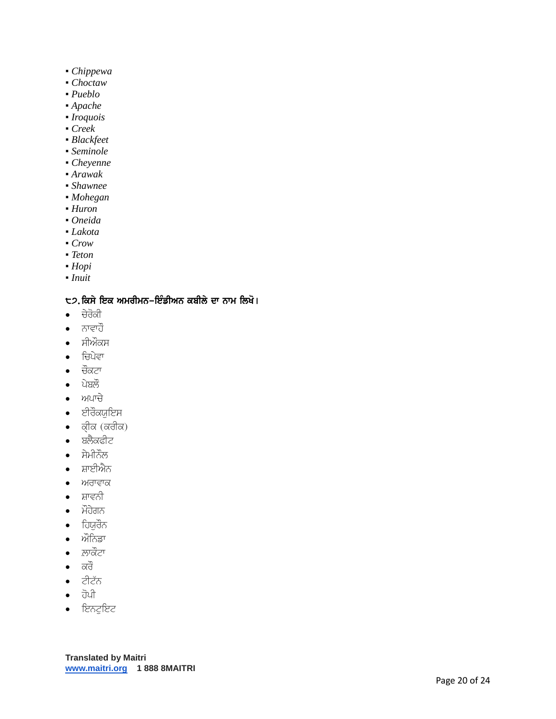- *Chippewa*
- *Choctaw*
- *Pueblo*
- *Apache*
- *Iroquois*
- *Creek*
- *Blackfeet*
- *Seminole*
- *Cheyenne*
- *Arawak*
- *Shawnee*
- *Mohegan*
- *Huron*
- *Oneida*
- *Lakota*
- *Crow*
- *Teton*
- *Hopi*
- *Inuit*

# ੮੭.ਕਿਸੇ ਇਕ ਅਮਰੀਮਨ–ਇੰਡੀਅਨ ਕਬੀਲੇ ਦਾ ਨਾਮ ਲਿਖੋ।

- $\bullet$  ਚੇਰੋਕੀ
- $\bullet$  ਨਾਵਾਹੌ
- ਸੀਔਕਸ
- $\bullet$  ਚਿਪੇਵਾ
- $\bullet$  ਚੌਕਟਾ
- $\bullet$  ਪੇਬਲੌ
- $\bullet$   $m$ ਪਾਚੇ
- $\bullet$  ਈਰੌਕਯਇਸ
- $\bullet$  *ਕ੍*ਰਿਕ (ਕਰੀਕ)
- $\bullet$  ਬਲੈਕਫੀਟ
- $\bullet$  ਸੇਮੀਨੌਲ
- ਸ਼ਾਈਐਨ
- ਅਰਾਵਾਕ
- $\bullet$  ਸ਼ਾਵਨੀ
- $\bullet$  ਮੌਹੇਗਨ
- $\bullet$  ਹਿਯੁਰੌਨ
- ਔਨਿਡਾ
- $\bullet$  ਲਾਕੌਟਾ
- $\bullet$  ਕਰੌ
- $\bullet$  ਟੀਟੱਨ
- $\bullet$   $\vec{d}$
- $\bullet$  feagfec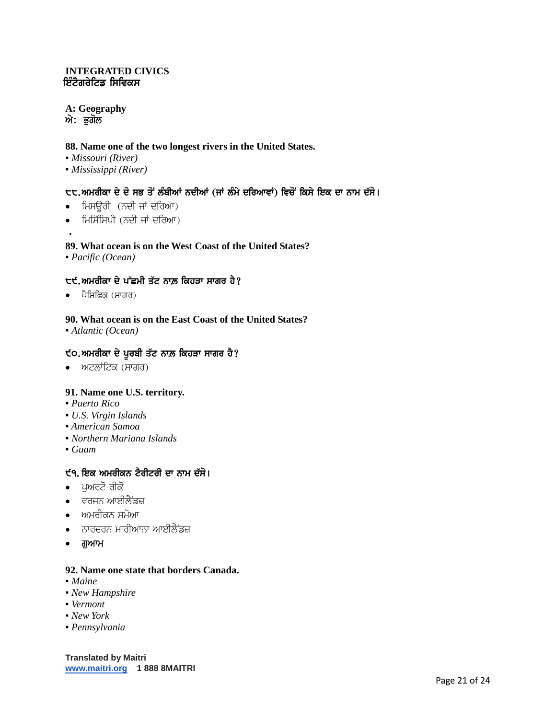## **INTEGRATED CIVICS** ਇੰਟੈਗਰੇਟਿਡ ਸਿਵਿਕਸ

# **A: Geography**

 $\dot{m}$ : ਭੂਗੋਲ

## **88. Name one of the two longest rivers in the United States.**

- *Missouri (River)*
- *Mississippi (River)*

# ੮੮.ਅਮਰੀਕਾ ਦੇ ਦੋ ਸਭ ਤੋਂ ਲੰਬੀਆਂ ਨਦੀਆਂ (ਜਾਂ ਲੰਮੇ ਦਰਿਆਵਾਂ) ਵਿਚੋਂ ਕਿਸੇ ਇਕ ਦਾ ਨਾਮ ਦੱਸੋ।

- ਮਿਸੳਰੀ  $($ ਨਦੀ ਜਾਂ ਦਰਿਆ)
- ਮਿਸਿੱਸਿਪੀ (ਨਦੀ ਜਾਂ ਦਰਿਆ)

## **89. What ocean is on the West Coast of the United States?**

▪ *Pacific (Ocean)*

## ੮੯.ਅਮਰੀਕਾ ਦੇ ਪੱਛਮੀ ਤੱਟ ਨਾਲ਼ ਕਿਹੜਾ ਸਾਗਰ ਹੈ?

 $\bullet$  ਪੈਸਿਫਿਕ (ਸਾਗਰ)

## **90. What ocean is on the East Coast of the United States?**

▪ *Atlantic (Ocean)*

# $\epsilon$ 0. ਅਮਰੀਕਾ ਦੇ ਪੁਰਬੀ ਤੱਟ ਨਾਲ਼ ਕਿਹੜਾ ਸਾਗਰ ਹੈ?

• ਅਟਲਾਂਟਿਕ (ਸਾਗਰ)

#### **91. Name one U.S. territory.**

- *Puerto Rico*
- *U.S. Virgin Islands*
- *▪ American Samoa*
- *▪ Northern Mariana Islands*
- *▪ Guam*

#### ੯੧. ਇਕ ਅਮਰੀਕਨ ਟੈਰੀਟਰੀ ਦਾ ਨਾਮ ਦੱਸੋ।

- $\bullet$  ਪਅਰਟੋ ਰੀਕੋ
- $\bullet$  ਵਰਜਨ ਆਈਲੈਂਡਜ਼
- ਅਮਰੀਕਨ ਸਮੋਆ
- ਨਾਰਦਰਨ ਮਾਰੀਆਨਾ ਆਈਲੈਂਡਜ਼
- ਗਆਮ

#### **92. Name one state that borders Canada.**

- *Maine*
- *New Hampshire*
- *Vermont*
- *New York*
- *Pennsylvania*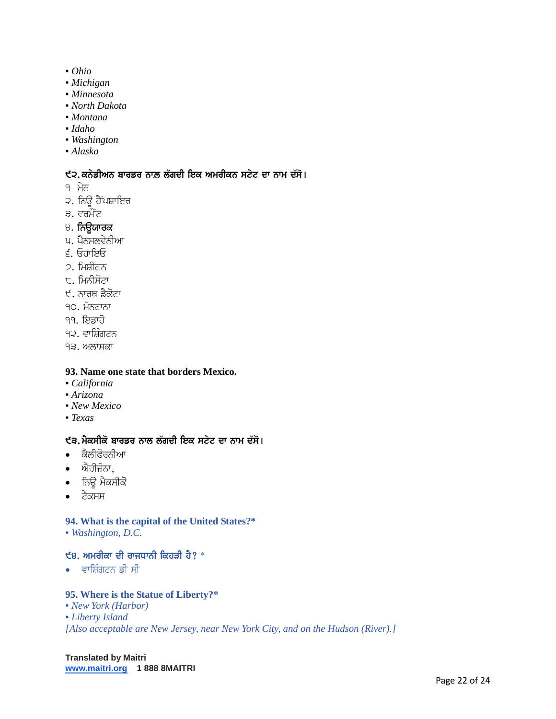- *Ohio*
- *Michigan*
- *Minnesota*
- *North Dakota*
- *Montana*
- *Idaho*
- *Washington*
- *Alaska*

## $\xi$ ੨. ਕਨੇਡੀਅਨ ਬਾਰਡਰ ਨਾਲ਼ ਲੱਗਦੀ ਇਕ ਅਮਰੀਕਨ ਸਟੇਟ ਦਾ ਨਾਮ ਦੱਸੋ।

- ੧ ਮੇਨ
- ੨. ਨਿਊ ਹੈਂਪਸ਼ਾਇਰ
- ੩. ਵਰਮੌਂਟ
- ੪. ਨਿਊਯਾਰਕ
- ਪ. ਪੈਨਸਲਵੇਨੀਆ
- 6. EhwieE
- 2. ਮਿਸ਼ੀਗਨ
- $\tau$ . ਮਿਨੀਸੋਟਾ
- ੯. ਨਾਰਥ ਡੈਕੋਟਾ
- 90. ਮੋਨਟਾਨਾ
- <u>੧੧. ਇਡਾਹੋ</u>
- ੧੨. ਵਾਸ਼ਿੰਗਟਨ
- ੧੩. ਅਲਾਸਕਾ

### **93. Name one state that borders Mexico.**

- *California*
- *Arizona*
- *New Mexico*
- *Texas*

### ੯੩. ਮੈਕਸੀਕੋ ਬਾਰਡਰ ਨਾਲ ਲੱਗਦੀ ਇਕ ਸਟੇਟ ਦਾ ਨਾਮ ਦੱਸੋ।

- $\bullet$  ਕੈਲੀਫੋਰਨੀਆ
- $\bullet$  ਐਰੀਜ਼ੋਨਾ,
- ਨਿਊ ਮੈਕਸੀਕੋ
- $\bullet$  ਟੈਕਸਸ

#### **94. What is the capital of the United States?\***

▪ *Washington, D.C.*

# $\epsilon$ 8. ਅਮਰੀਕਾ ਦੀ ਰਾਜਧਾਨੀ ਕਿਹੜੀ ਹੈ?  $^*$

 $\bullet$  ਵਾਸਿੰਗਟਨ ਡੀ ਸੀ

#### **95. Where is the Statue of Liberty?\***

- *New York (Harbor)*
- *Liberty Island*

*[Also acceptable are New Jersey, near New York City, and on the Hudson (River).]*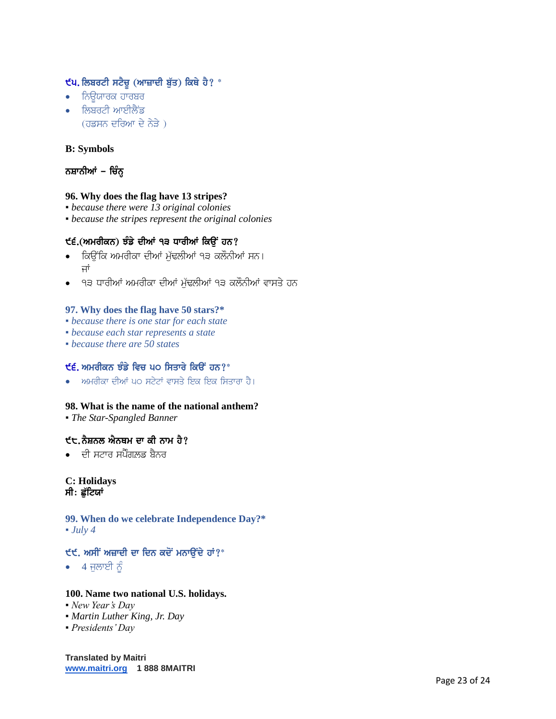# $\epsilon$ ਪ. ਲਿਬਰਟੀ ਸਟੈਚੂ (ਆਜ਼ਾਦੀ ਬੁੱਤ) ਕਿਥੇ ਹੈ? \*

- $\bullet$  ਨਿਊਯਾਰਕ ਹਾਰਬਰ
- $\bullet$  ਨਿਬਰਟੀ ਆਈਲੈਂਡ  $($ ਹਡਸਨ ਦਰਿਆ ਦੇ ਨੇੜੇ)

## **B: Symbols**

# ਨਸ਼ਾਨੀਆਂ – ਚਿੰਨ੍ਹ

## **96. Why does the flag have 13 stripes?**

- *because there were 13 original colonies*
- *because the stripes represent the original colonies*

## ੯੬.(ਅਮਰੀਕਨ) ਝੰਡੇ ਦੀਆਂ ੧੩ ਧਾਰੀਆਂ ਕਿੳਂ ਹਨ?

- ਕਿਉਂਕਿ ਅਮਰੀਕਾ ਦੀਆਂ ਮੱਢਲੀਆਂ ੧੩ ਕਲੌਨੀਆਂ ਸਨ। ਜਾਂ
- ੧੩ ਧਾਰੀਆਂ ਅਮਰੀਕਾ ਦੀਆਂ ਮੁੱਢਲੀਆਂ ੧੩ ਕਲੌਨੀਆਂ ਵਾਸਤੇ ਹਨ

## **97. Why does the flag have 50 stars?\***

- *because there is one star for each state*
- *because each star represents a state*
- *because there are 50 states*

# $\mathbf{f}$ ੬. ਅਮਰੀਕਨ ਝੰਡੇ ਵਿਚ ਪ੦ ਸਿਤਾਰੇ ਕਿੳਂ ਹਨ? $^*$

ਅਮਰੀਕਾ ਦੀਆਂ ੫੦ ਸਟੇਟਾਂ ਵਾਸਤੇ ਇਕ ਇਕ ਸਿਤਾਰਾ ਹੈ।

## **98. What is the name of the national anthem?**

▪ *The Star-Spangled Banner*

## $t$ ਦ, ਨੈਸ਼ਨਲ ਐਨਥਮ ਦਾ ਕੀ ਨਾਮ ਹੈ?

 $\bullet$  ਜਦੀ ਸਟਾਰ ਸਪੈੰਗਲਡ ਬੈਨਰ

#### **C: Holidays** ਸੀ: ਛੱਟਿਯਾਂ

#### **99. When do we celebrate Independence Day?\***  $\bullet$  *July 4*

## $\mathfrak{E}$ ਈ. ਅਸੀਂ ਅਜ਼ਾਦੀ ਦਾ ਦਿਨ ਕਦੋਂ ਮਨਾਉਂਦੇ ਹਾਂ?\*

 $\bullet$  4 ਜੁਲਾਈ ਨੂੰ

#### **100. Name two national U.S. holidays.**

- *New Year's Day*
- *Martin Luther King, Jr. Day*
- *Presidents' Day*